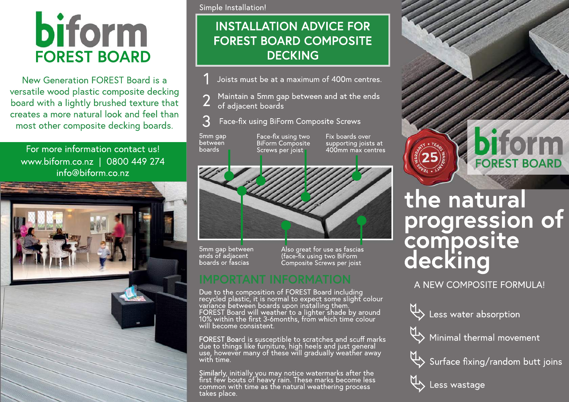# **biform FOREST BOARD**

New Generation FOREST Board is a versatile wood plastic composite decking board with a lightly brushed texture that creates a more natural look and feel than most other composite decking boards.

### For more information contact us! www.biform.co.nz|0800449274 info@biform.co.nz



Simple Installation!

## **INSTALLATION ADVICE FOR FOREST BOARD COMPOSITE DECKING**

- 1 Joists must be at a maximum of 400m centres.
- 2 Maintain a 5mm gap between and at the ends<br>2 of adjacent boards of adjacent boards
- 3 Face-fix using BiForm Composite Screws

**BiForm Composite** Screws per joist

5mm gap between boards

Face-fix using two Fix boards over supporting joists at 400mm max centres



5mm gap between ends of adjacent boards or fascias

Also great for use as fascias (face-fix using two BiForm Composite Screws per joist

Due to the composition of FOREST Board including recycled plastic, it is normal to expect some slight colour variance between boards upon installing them. ̆<br>FOREST Board will weather to a lighter shade by around 10% within the first 3-6months, from which time colour will become consistent.

FOREST Board is susceptible to scratches and scuff marks due to things like furniture, high heels and just general use, however many of these will gradually weather away with time.

Similarly, initially you may notice watermarks after the first few bouts of heavy rain. These marks become less common with time as the natural weathering process takes place.



## **the natural** progression of **composite decking**

A NEW COMPOSITE FORMULA!

U<sub>2</sub> Less water absorption



 $\overline{\mathbb{Q}}$  Minimal thermal movement



 $\overline{\mathbb{Q}}$  Surface fixing/random butt joins